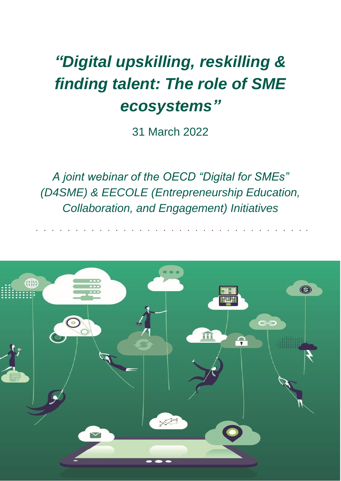# *"Digital upskilling, reskilling & finding talent: The role of SME ecosystems"*

31 March 2022

*A joint webinar of the OECD "Digital for SMEs" (D4SME) & EECOLE (Entrepreneurship Education, Collaboration, and Engagement) Initiatives*

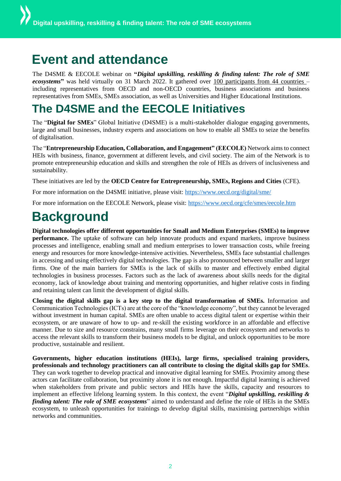## **Event and attendance**

The D4SME & EECOLE webinar on **"***Digital upskilling, reskilling & finding talent: The role of SME ecosystems***"** was held virtually on 31 March 2022. It gathered over 100 participants from 44 countries – including representatives from OECD and non-OECD countries, business associations and business representatives from SMEs, SMEs association, as well as Universities and Higher Educational Institutions.

### **The D4SME and the EECOLE Initiatives**

The "**Digital for SMEs**" Global Initiative (D4SME) is a multi-stakeholder dialogue engaging governments, large and small businesses, industry experts and associations on how to enable all SMEs to seize the benefits of digitalisation.

The "**Entrepreneurship Education, Collaboration, and Engagement" (EECOLE)** Network aims to connect HEIs with business, finance, government at different levels, and civil society. The aim of the Network is to promote entrepreneurship education and skills and strengthen the role of HEIs as drivers of inclusiveness and sustainability.

These initiatives are led by the **OECD Centre for Entrepreneurship, SMEs, Regions and Cities** (CFE).

For more information on the D4SME initiative, please visit:<https://www.oecd.org/digital/sme/>

For more information on the EECOLE Network, please visit:<https://www.oecd.org/cfe/smes/eecole.htm>

## **Background**

**Digital technologies offer different opportunities for Small and Medium Enterprises (SMEs) to improve performance.** The uptake of software can help innovate products and expand markets, improve business processes and intelligence, enabling small and medium enterprises to lower transaction costs, while freeing energy and resources for more knowledge-intensive activities. Nevertheless, SMEs face substantial challenges in accessing and using effectively digital technologies. The gap is also pronounced between smaller and larger firms. One of the main barriers for SMEs is the lack of skills to master and effectively embed digital technologies in business processes. Factors such as the lack of awareness about skills needs for the digital economy, lack of knowledge about training and mentoring opportunities, and higher relative costs in finding and retaining talent can limit the development of digital skills.

**Closing the digital skills gap is a key step to the digital transformation of SMEs.** Information and Communication Technologies (ICTs) are at the core of the "knowledge economy", but they cannot be leveraged without investment in human capital. SMEs are often unable to access digital talent or expertise within their ecosystem, or are unaware of how to up- and re-skill the existing workforce in an affordable and effective manner. Due to size and resource constrains, many small firms leverage on their ecosystem and networks to access the relevant skills to transform their business models to be digital, and unlock opportunities to be more productive, sustainable and resilient.

**Governments, higher education institutions (HEIs), large firms, specialised training providers, professionals and technology practitioners can all contribute to closing the digital skills gap for SMEs**. They can work together to develop practical and innovative digital learning for SMEs. Proximity among these actors can facilitate collaboration, but proximity alone it is not enough. Impactful digital learning is achieved when stakeholders from private and public sectors and HEIs have the skills, capacity and resources to implement an effective lifelong learning system. In this context, the event "*Digital upskilling, reskilling & finding talent: The role of SME ecosystems*" aimed to understand and define the role of HEIs in the SMEs ecosystem, to unleash opportunities for trainings to develop digital skills, maximising partnerships within networks and communities.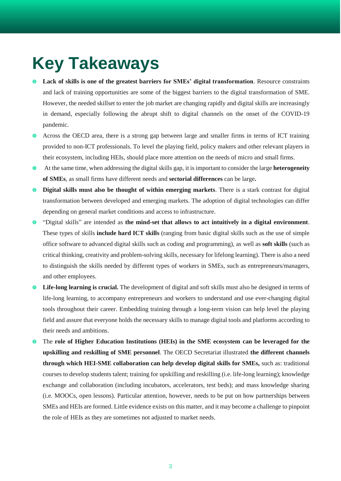## **Key Takeaways**

- **Lack of skills is one of the greatest barriers for SMEs' digital transformation**. Resource constraints and lack of training opportunities are some of the biggest barriers to the digital transformation of SME. However, the needed skillset to enter the job market are changing rapidly and digital skills are increasingly in demand, especially following the abrupt shift to digital channels on the onset of the COVID-19 pandemic.
- Across the OECD area, there is a strong gap between large and smaller firms in terms of ICT training provided to non-ICT professionals. To level the playing field, policy makers and other relevant players in their ecosystem, including HEIs, should place more attention on the needs of micro and small firms.
- At the same time, when addressing the digital skills gap, it is important to consider the large **heterogeneity of SMEs**, as small firms have different needs and **sectorial differences** can be large**.**
- **O** Digital skills must also be thought of within emerging markets. There is a stark contrast for digital transformation between developed and emerging markets. The adoption of digital technologies can differ depending on general market conditions and access to infrastructure.
- "Digital skills" are intended as **the mind-set that allows to act intuitively in a digital environment**. These types of skills **include hard ICT skills** (ranging from basic digital skills such as the use of simple office software to advanced digital skills such as coding and programming), as well as **soft skills** (such as critical thinking, creativity and problem-solving skills, necessary for lifelong learning). There is also a need to distinguish the skills needed by different types of workers in SMEs, such as entrepreneurs/managers, and other employees.
- **Life-long learning is crucial.** The development of digital and soft skills must also be designed in terms of life-long learning, to accompany entrepreneurs and workers to understand and use ever-changing digital tools throughout their career. Embedding training through a long-term vision can help level the playing field and assure that everyone holds the necessary skills to manage digital tools and platforms according to their needs and ambitions.
- The **role of Higher Education Institutions (HEIs) in the SME ecosystem can be leveraged for the upskilling and reskilling of SME personnel**. The OECD Secretariat illustrated **the different channels through which HEI-SME collaboration can help develop digital skills for SMEs,** such as: traditional courses to develop students talent; training for upskilling and reskilling (i.e. life-long learning); knowledge exchange and collaboration (including incubators, accelerators, test beds); and mass knowledge sharing (i.e. MOOCs, open lessons). Particular attention, however, needs to be put on how partnerships between SMEs and HEIs are formed. Little evidence exists on this matter, and it may become a challenge to pinpoint the role of HEIs as they are sometimes not adjusted to market needs.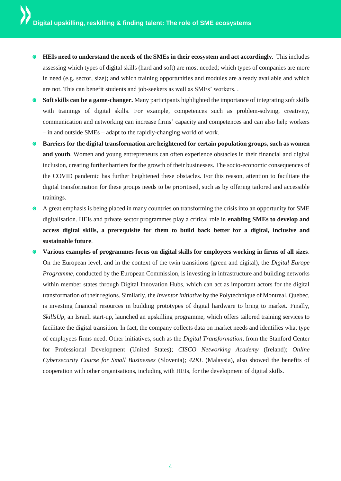- **HEIs need to understand the needs of the SMEs in their ecosystem and act accordingly.** This includes assessing which types of digital skills (hard and soft) are most needed; which types of companies are more in need (e.g. sector, size); and which training opportunities and modules are already available and which are not. This can benefit students and job-seekers as well as SMEs' workers. .
- **Soft skills can be a game-changer.** Many participants highlighted the importance of integrating soft skills with trainings of digital skills. For example, competences such as problem-solving, creativity, communication and networking can increase firms' capacity and competences and can also help workers – in and outside SMEs – adapt to the rapidly-changing world of work.
- **Barriers for the digital transformation are heightened for certain population groups, such as women and youth**. Women and young entrepreneurs can often experience obstacles in their financial and digital inclusion, creating further barriers for the growth of their businesses. The socio-economic consequences of the COVID pandemic has further heightened these obstacles. For this reason, attention to facilitate the digital transformation for these groups needs to be prioritised, such as by offering tailored and accessible trainings.
- A great emphasis is being placed in many countries on transforming the crisis into an opportunity for SME digitalisation. HEIs and private sector programmes play a critical role in **enabling SMEs to develop and access digital skills, a prerequisite for them to build back better for a digital, inclusive and sustainable future**.
- **Various examples of programmes focus on digital skills for employees working in firms of all sizes**. On the European level, and in the context of the twin transitions (green and digital), the *Digital Europe Programme,* conducted by the European Commission, is investing in infrastructure and building networks within member states through Digital Innovation Hubs, which can act as important actors for the digital transformation of their regions. Similarly, the *Inventor initiative* by the Polytechnique of Montreal, Quebec, is investing financial resources in building prototypes of digital hardware to bring to market. Finally, *SkillsUp,* an Israeli start-up, launched an upskilling programme, which offers tailored training services to facilitate the digital transition. In fact, the company collects data on market needs and identifies what type of employees firms need. Other initiatives, such as the *Digital Transformation*, from the Stanford Center for Professional Development (United States); *CISCO Networking Academy* (Ireland); *Online Cybersecurity Course for Small Businesses* (Slovenia); *42KL* (Malaysia), also showed the benefits of cooperation with other organisations, including with HEIs, for the development of digital skills.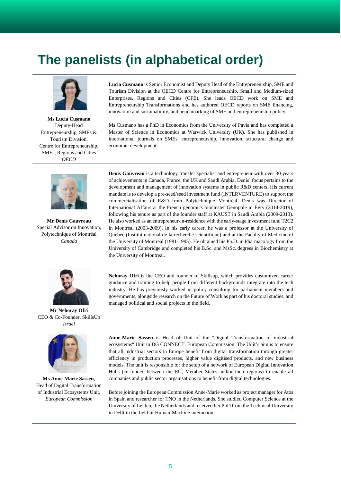## **The panelists (in alphabetical order)**



**Ms Lucia Cusmano** Deputy-Head Entrepreneurship, SMEs & Tourism Division, Centre for Entrepreneurship, SMEs, Regions and Cities *OECD*



**Mr Denis Gauvreau** Special Advisor on Innovation, Polytechnique of Montréal *Canada*

**Lucia Cusmano** is Senior Economist and Deputy Head of the Entrepreneurship, SME and Tourism Division at the OECD Centre for Entrepreneurship, Small and Medium-sized Enterprises, Regions and Cities (CFE). She leads OECD work on SME and Entrepreneurship Transformations and has authored OECD reports on SME financing, innovation and sustainability, and benchmarking of SME and entrepreneurship policy,

Ms Cusmano has a PhD in Economics from the University of Pavia and has completed a Master of Science in Economics at Warwick University (UK). She has published in international journals on SMEs, entrepreneurship, innovation, structural change and economic development.

**Denis Gauvreau** is a technology transfer specialist and entrepreneur with over 30 years of achievements in Canada, France, the UK and Saudi Arabia. Denis' focus pertains to the development and management of innovation systems in public R&D centers. His current mandate is to develop a pre-seed/seed investment fund (INTERVENTURE) to support the commercialisation of R&D from Polytechnique Montréal. Denis was Director of International Affairs at the French genomics biocluster Genopole in Évry (2014-2019), following his tenure as part of the founder staff at KAUST in Saudi Arabia (2009-2013). He also worked as an entrepreneur-in-residence with the early-stage investment fund T2C2 in Montréal (2003-2009). In his early career, he was a professor at the University of Quebec (Institut national de la recherche scientifique) and at the Faculty of Medicine of the University of Montreal (1981-1995). He obtained his Ph.D. in Pharmacology from the University of Cambridge and completed his B.Sc. and MsSc. degrees in Biochemistry at the University of Montreal.



**Nehoray Ofri** is the CEO and founder of Skillsup, which provides customized career guidance and training to help people from different backgrounds integrate into the tech industry. He has previously worked in policy consulting for parliament members and governments, alongside research on the Future of Work as part of his doctoral studies, and managed political and social projects in the field.

**Mr Nehoray Ofri** CEO & Co-Founder, SkillsUp *Israel*



**Ms Anne-Marie Sassen,** Head of Digital Transformation of Industrial Ecosystems Unit, *European Commission*

**Anne-Marie Sassen** is Head of Unit of the "Digital Transformation of industrial ecosystems" Unit in DG CONNECT, European Commission. The Unit's aim is to ensure that all industrial sectors in Europe benefit from digital transformation through greater efficiency in production processes, higher value digitised products, and new business models. The unit is responsible for the setup of a network of European Digital Innovation Hubs (co-funded between the EU, Member States and/or their regions) to enable all companies and public sector organisations to benefit from digital technologies.

Before joining the European Commission Anne-Marie worked as project manager for Atos in Spain and researcher for TNO in the Netherlands. She studied Computer Science at the University of Leiden, the Netherlands and received her PhD from the Technical University in Delft in the field of Human-Machine interaction.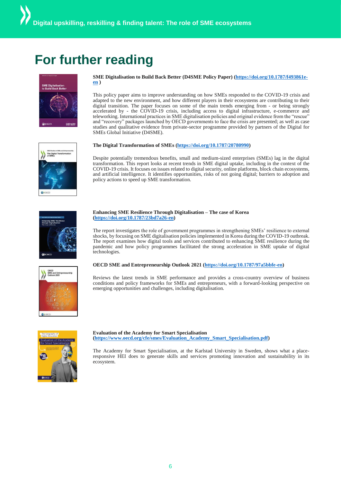## **For further reading**



#### **SME Digitalisation to Build Back Better (D4SME Policy Paper) [\(https://doi.org/10.1787/f493861e](https://doi.org/10.1787/f493861e-en)[en](https://doi.org/10.1787/f493861e-en) )**

This policy paper aims to improve understanding on how SMEs responded to the COVID-19 crisis and adapted to the new environment, and how different players in their ecosystems are contributing to their digital transition. The paper focuses on some of the main trends emerging from - or being strongly accelerated by - the COVID-19 crisis, including access to digital infrastructure, e-commerce and teleworking. International practices in SME digitalisation policies and original evidence from the "rescue" and "recovery" packages launched by OECD governments to face the crisis are presented; as well as case studies and qualitative evidence from private-sector programme provided by partners of the Digital for SMEs Global Initiative (D4SME).

#### **The Digital Transformation of SMEs [\(https://doi.org/10.1787/20780990\)](https://doi.org/10.1787/20780990)**



Despite potentially tremendous benefits, small and medium-sized enterprises (SMEs) lag in the digital transformation. This report looks at recent trends in SME digital uptake, including in the context of the COVID-19 crisis. It focuses on issues related to digital security, online platforms, block chain ecosystems, and artificial intelligence. It identifies opportunities, risks of not going digital; barriers to adoption and policy actions to speed up SME transformation.



#### **Enhancing SME Resilience Through Digitalisation – The case of Korea [\(https://doi.org/10.1787/23bd7a26-en\)](https://doi.org/10.1787/23bd7a26-en)**

The report investigates the role of government programmes in strengthening SMEs' resilience to external shocks, by focusing on SME digitalisation policies implemented in Korea during the COVID-19 outbreak. The report examines how digital tools and services contributed to enhancing SME resilience during the pandemic and how policy programmes facilitated the strong acceleration in SME uptake of digital technologies.



#### **OECD SME and Entrepreneurship Outlook 2021 [\(https://doi.org/10.1787/97a5bbfe-en\)](https://doi.org/10.1787/97a5bbfe-en)**

Reviews the latest trends in SME performance and provides a cross-country overview of business conditions and policy frameworks for SMEs and entrepreneurs, with a forward-looking perspective on emerging opportunities and challenges, including digitalisation.



#### **Evaluation of the Academy for Smart Specialisation [\(https://www.oecd.org/cfe/smes/Evaluation\\_Academy\\_Smart\\_Specialisation.pdf\)](https://www.oecd.org/cfe/smes/Evaluation_Academy_Smart_Specialisation.pdf)**

The Academy for Smart Specialisation, at the Karlstad University in Sweden, shows what a placeresponsive HEI does to generate skills and services promoting innovation and sustainability in its ecosystem.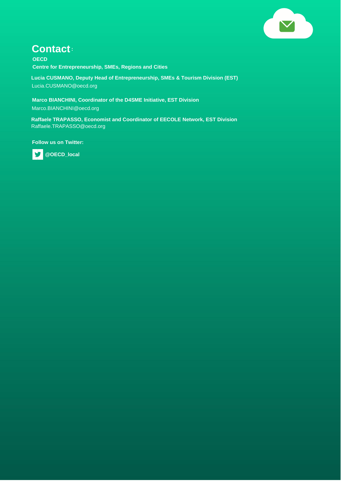

### **Contact:**

**OECD Centre for Entrepreneurship, SMEs, Regions and Cities**

**Lucia CUSMANO, Deputy Head of Entrepreneurship, SMEs & Tourism Division (EST)** Lucia.CUSMANO@oecd.org

**Marco BIANCHINI, Coordinator of the D4SME Initiative, EST Division** Marco.BIANCHINI@oecd.org

**Raffaele TRAPASSO, Economist and Coordinator of EECOLE Network, EST Division** Raffaele.TRAPASSO@oecd.org

**Follow us on Twitter:** 



 **@OECD\_local**